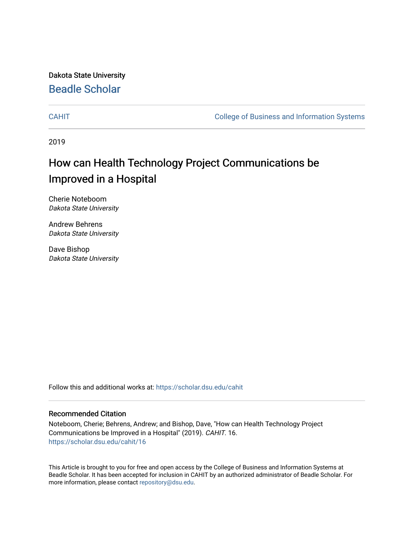Dakota State University [Beadle Scholar](https://scholar.dsu.edu/)

[CAHIT](https://scholar.dsu.edu/cahit) [College of Business and Information Systems](https://scholar.dsu.edu/biscollege) 

2019

# How can Health Technology Project Communications be Improved in a Hospital

Cherie Noteboom Dakota State University

Andrew Behrens Dakota State University

Dave Bishop Dakota State University

Follow this and additional works at: [https://scholar.dsu.edu/cahit](https://scholar.dsu.edu/cahit?utm_source=scholar.dsu.edu%2Fcahit%2F16&utm_medium=PDF&utm_campaign=PDFCoverPages) 

#### Recommended Citation

Noteboom, Cherie; Behrens, Andrew; and Bishop, Dave, "How can Health Technology Project Communications be Improved in a Hospital" (2019). CAHIT. 16. [https://scholar.dsu.edu/cahit/16](https://scholar.dsu.edu/cahit/16?utm_source=scholar.dsu.edu%2Fcahit%2F16&utm_medium=PDF&utm_campaign=PDFCoverPages) 

This Article is brought to you for free and open access by the College of Business and Information Systems at Beadle Scholar. It has been accepted for inclusion in CAHIT by an authorized administrator of Beadle Scholar. For more information, please contact [repository@dsu.edu.](mailto:repository@dsu.edu)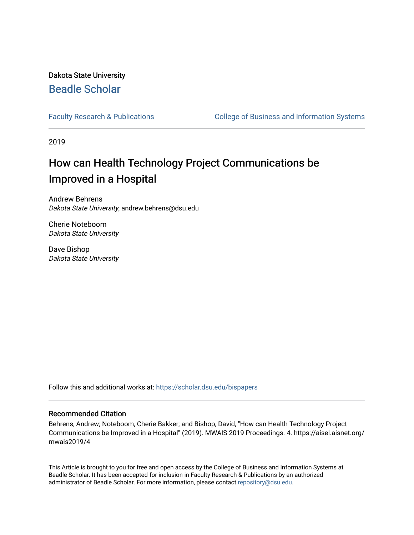## Dakota State University [Beadle Scholar](https://scholar.dsu.edu/)

[Faculty Research & Publications](https://scholar.dsu.edu/bispapers) **College of Business and Information Systems** 

2019

# How can Health Technology Project Communications be Improved in a Hospital

Andrew Behrens Dakota State University, andrew.behrens@dsu.edu

Cherie Noteboom Dakota State University

Dave Bishop Dakota State University

Follow this and additional works at: [https://scholar.dsu.edu/bispapers](https://scholar.dsu.edu/bispapers?utm_source=scholar.dsu.edu%2Fbispapers%2F66&utm_medium=PDF&utm_campaign=PDFCoverPages)

#### Recommended Citation

Behrens, Andrew; Noteboom, Cherie Bakker; and Bishop, David, "How can Health Technology Project Communications be Improved in a Hospital" (2019). MWAIS 2019 Proceedings. 4. https://aisel.aisnet.org/ mwais2019/4

This Article is brought to you for free and open access by the College of Business and Information Systems at Beadle Scholar. It has been accepted for inclusion in Faculty Research & Publications by an authorized administrator of Beadle Scholar. For more information, please contact [repository@dsu.edu.](mailto:repository@dsu.edu)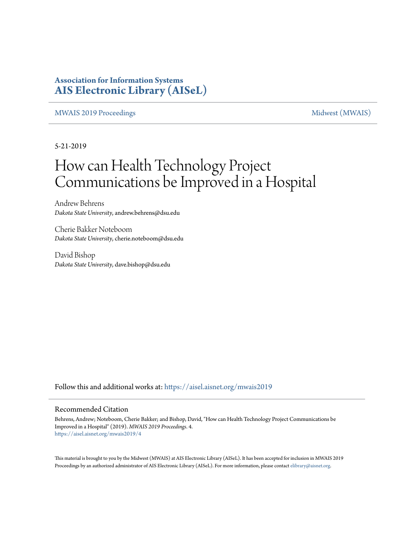### **Association for Information Systems [AIS Electronic Library \(AISeL\)](https://aisel.aisnet.org?utm_source=aisel.aisnet.org%2Fmwais2019%2F4&utm_medium=PDF&utm_campaign=PDFCoverPages)**

#### [MWAIS 2019 Proceedings](https://aisel.aisnet.org/mwais2019?utm_source=aisel.aisnet.org%2Fmwais2019%2F4&utm_medium=PDF&utm_campaign=PDFCoverPages) and the [Midwest \(MWAIS\)](https://aisel.aisnet.org/mwais?utm_source=aisel.aisnet.org%2Fmwais2019%2F4&utm_medium=PDF&utm_campaign=PDFCoverPages)

5-21-2019

# How can Health Technology Project Communications be Improved in a Hospital

Andrew Behrens *Dakota State University*, andrew.behrens@dsu.edu

Cherie Bakker Noteboom *Dakota State University*, cherie.noteboom@dsu.edu

David Bishop *Dakota State University*, dave.bishop@dsu.edu

Follow this and additional works at: [https://aisel.aisnet.org/mwais2019](https://aisel.aisnet.org/mwais2019?utm_source=aisel.aisnet.org%2Fmwais2019%2F4&utm_medium=PDF&utm_campaign=PDFCoverPages)

#### Recommended Citation

Behrens, Andrew; Noteboom, Cherie Bakker; and Bishop, David, "How can Health Technology Project Communications be Improved in a Hospital" (2019). *MWAIS 2019 Proceedings*. 4. [https://aisel.aisnet.org/mwais2019/4](https://aisel.aisnet.org/mwais2019/4?utm_source=aisel.aisnet.org%2Fmwais2019%2F4&utm_medium=PDF&utm_campaign=PDFCoverPages)

This material is brought to you by the Midwest (MWAIS) at AIS Electronic Library (AISeL). It has been accepted for inclusion in MWAIS 2019 Proceedings by an authorized administrator of AIS Electronic Library (AISeL). For more information, please contact [elibrary@aisnet.org](mailto:elibrary@aisnet.org%3E).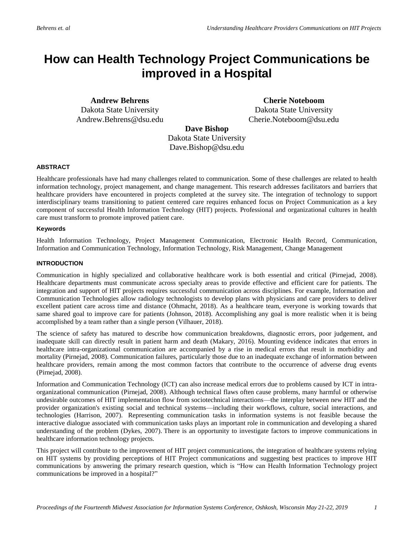## **How can Health Technology Project Communications be improved in a Hospital**

**Andrew Behrens** Dakota State University Andrew.Behrens@dsu.edu

**Cherie Noteboom** Dakota State University Cherie.Noteboom@dsu.edu

**Dave Bishop**

Dakota State University Dave.Bishop@dsu.edu

#### **ABSTRACT**

Healthcare professionals have had many challenges related to communication. Some of these challenges are related to health information technology, project management, and change management. This research addresses facilitators and barriers that healthcare providers have encountered in projects completed at the survey site. The integration of technology to support interdisciplinary teams transitioning to patient centered care requires enhanced focus on Project Communication as a key component of successful Health Information Technology (HIT) projects. Professional and organizational cultures in health care must transform to promote improved patient care.

#### **Keywords**

Health Information Technology, Project Management Communication, Electronic Health Record, Communication, Information and Communication Technology, Information Technology, Risk Management, Change Management

#### **INTRODUCTION**

Communication in highly specialized and collaborative healthcare work is both essential and critical (Pirnejad, 2008). Healthcare departments must communicate across specialty areas to provide effective and efficient care for patients. The integration and support of HIT projects requires successful communication across disciplines. For example, Information and Communication Technologies allow radiology technologists to develop plans with physicians and care providers to deliver excellent patient care across time and distance (Ohmacht, 2018). As a healthcare team, everyone is working towards that same shared goal to improve care for patients (Johnson, 2018). Accomplishing any goal is more realistic when it is being accomplished by a team rather than a single person (Vilhauer, 2018).

The science of safety has matured to describe how communication breakdowns, diagnostic errors, poor judgement, and inadequate skill can directly result in patient harm and death (Makary, 2016). Mounting evidence indicates that errors in healthcare intra-organizational communication are accompanied by a rise in medical errors that result in morbidity and mortality (Pirnejad, 2008). Communication failures, particularly those due to an inadequate exchange of information between healthcare providers, remain among the most common factors that contribute to the occurrence of adverse drug events (Pirnejad, 2008).

Information and Communication Technology (ICT) can also increase medical errors due to problems caused by ICT in intraorganizational communication (Pirnejad, 2008). Although technical flaws often cause problems, many harmful or otherwise undesirable outcomes of HIT implementation flow from sociotechnical interactions—the interplay between new HIT and the provider organization's existing social and technical systems—including their workflows, culture, social interactions, and technologies (Harrison, 2007). Representing communication tasks in information systems is not feasible because the interactive dialogue associated with communication tasks plays an important role in communication and developing a shared understanding of the problem (Dykes, 2007). There is an opportunity to investigate factors to improve communications in healthcare information technology projects.

This project will contribute to the improvement of HIT project communications, the integration of healthcare systems relying on HIT systems by providing perceptions of HIT Project communications and suggesting best practices to improve HIT communications by answering the primary research question, which is "How can Health Information Technology project communications be improved in a hospital?"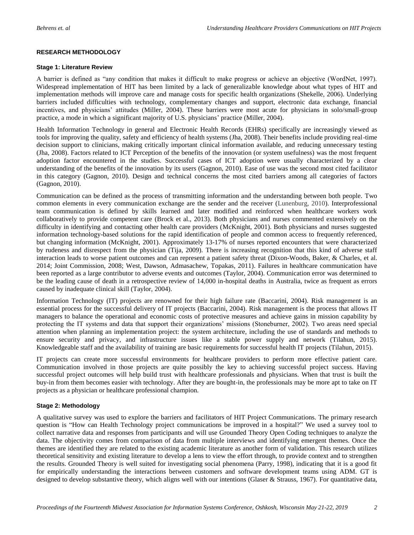#### **RESEARCH METHODOLOGY**

#### **Stage 1: Literature Review**

A barrier is defined as "any condition that makes it difficult to make progress or achieve an objective (WordNet, 1997). Widespread implementation of HIT has been limited by a lack of generalizable knowledge about what types of HIT and implementation methods will improve care and manage costs for specific health organizations (Shekelle, 2006). Underlying barriers included difficulties with technology, complementary changes and support, electronic data exchange, financial incentives, and physicians' attitudes (Miller, 2004). These barriers were most acute for physicians in solo/small-group practice, a mode in which a significant majority of U.S. physicians' practice (Miller, 2004).

Health Information Technology in general and Electronic Health Records (EHRs) specifically are increasingly viewed as tools for improving the quality, safety and efficiency of health systems (Jha, 2008). Their benefits include providing real-time decision support to clinicians, making critically important clinical information available, and reducing unnecessary testing (Jha, 2008). Factors related to ICT Perception of the benefits of the innovation (or system usefulness) was the most frequent adoption factor encountered in the studies. Successful cases of ICT adoption were usually characterized by a clear understanding of the benefits of the innovation by its users (Gagnon, 2010). Ease of use was the second most cited facilitator in this category (Gagnon, 2010). Design and technical concerns the most cited barriers among all categories of factors (Gagnon, 2010).

Communication can be defined as the process of transmitting information and the understanding between both people. Two common elements in every communication exchange are the sender and the receiver (Lunenburg, 2010). Interprofessional team communication is defined by skills learned and later modified and reinforced when healthcare workers work collaboratively to provide competent care (Brock et al., 2013). Both physicians and nurses commented extensively on the difficulty in identifying and contacting other health care providers (McKnight, 2001). Both physicians and nurses suggested information technology-based solutions for the rapid identification of people and common access to frequently referenced, but changing information (McKnight, 2001). Approximately 13-17% of nurses reported encounters that were characterized by rudeness and disrespect from the physician (Tija, 2009). There is increasing recognition that this kind of adverse staff interaction leads to worse patient outcomes and can represent a patient safety threat (Dixon-Woods, Baker, & Charles, et al. 2014; Joint Commission, 2008; West, Dawson, Admasachew, Topakas, 2011). Failures in healthcare communication have been reported as a large contributor to adverse events and outcomes (Taylor, 2004). Communication error was determined to be the leading cause of death in a retrospective review of 14,000 in-hospital deaths in Australia, twice as frequent as errors caused by inadequate clinical skill (Taylor, 2004).

Information Technology (IT) projects are renowned for their high failure rate (Baccarini, 2004). Risk management is an essential process for the successful delivery of IT projects (Baccarini, 2004). Risk management is the process that allows IT managers to balance the operational and economic costs of protective measures and achieve gains in mission capability by protecting the IT systems and data that support their organizations' missions (Stoneburner, 2002). Two areas need special attention when planning an implementation project: the system architecture, including the use of standards and methods to ensure security and privacy, and infrastructure issues like a stable power supply and network (Tilahun, 2015). Knowledgeable staff and the availability of training are basic requirements for successful health IT projects (Tilahun, 2015).

IT projects can create more successful environments for healthcare providers to perform more effective patient care. Communication involved in those projects are quite possibly the key to achieving successful project success. Having successful project outcomes will help build trust with healthcare professionals and physicians. When that trust is built the buy-in from them becomes easier with technology. After they are bought-in, the professionals may be more apt to take on IT projects as a physician or healthcare professional champion.

#### **Stage 2: Methodology**

A qualitative survey was used to explore the barriers and facilitators of HIT Project Communications. The primary research question is "How can Health Technology project communications be improved in a hospital?" We used a survey tool to collect narrative data and responses from participants and will use Grounded Theory Open Coding techniques to analyze the data. The objectivity comes from comparison of data from multiple interviews and identifying emergent themes. Once the themes are identified they are related to the existing academic literature as another form of validation. This research utilizes theoretical sensitivity and existing literature to develop a lens to view the effort through, to provide context and to strengthen the results. Grounded Theory is well suited for investigating social phenomena (Parry, 1998), indicating that it is a good fit for empirically understanding the interactions between customers and software development teams using ADM. GT is designed to develop substantive theory, which aligns well with our intentions (Glaser & Strauss, 1967). For quantitative data,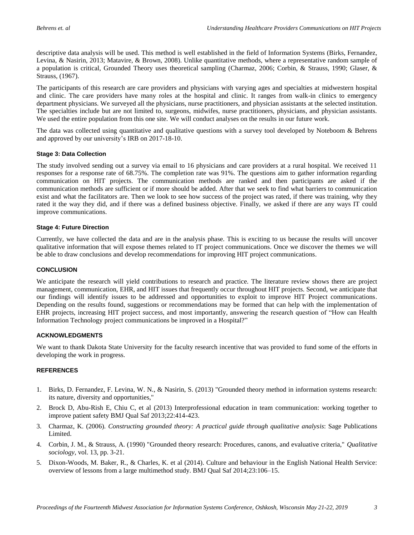descriptive data analysis will be used. This method is well established in the field of Information Systems (Birks, Fernandez, Levina, & Nasirin, 2013; Matavire, & Brown, 2008). Unlike quantitative methods, where a representative random sample of a population is critical, Grounded Theory uses theoretical sampling (Charmaz, 2006; Corbin, & Strauss, 1990; Glaser, & Strauss, (1967).

The participants of this research are care providers and physicians with varying ages and specialties at midwestern hospital and clinic. The care providers have many roles at the hospital and clinic. It ranges from walk-in clinics to emergency department physicians. We surveyed all the physicians, nurse practitioners, and physician assistants at the selected institution. The specialties include but are not limited to, surgeons, midwifes, nurse practitioners, physicians, and physician assistants. We used the entire population from this one site. We will conduct analyses on the results in our future work.

The data was collected using quantitative and qualitative questions with a survey tool developed by Noteboom & Behrens and approved by our university's IRB on 2017-18-10.

#### **Stage 3: Data Collection**

The study involved sending out a survey via email to 16 physicians and care providers at a rural hospital. We received 11 responses for a response rate of 68.75%. The completion rate was 91%. The questions aim to gather information regarding communication on HIT projects. The communication methods are ranked and then participants are asked if the communication methods are sufficient or if more should be added. After that we seek to find what barriers to communication exist and what the facilitators are. Then we look to see how success of the project was rated, if there was training, why they rated it the way they did, and if there was a defined business objective. Finally, we asked if there are any ways IT could improve communications.

#### **Stage 4: Future Direction**

Currently, we have collected the data and are in the analysis phase. This is exciting to us because the results will uncover qualitative information that will expose themes related to IT project communications. Once we discover the themes we will be able to draw conclusions and develop recommendations for improving HIT project communications.

#### **CONCLUSION**

We anticipate the research will yield contributions to research and practice. The literature review shows there are project management, communication, EHR, and HIT issues that frequently occur throughout HIT projects. Second, we anticipate that our findings will identify issues to be addressed and opportunities to exploit to improve HIT Project communications. Depending on the results found, suggestions or recommendations may be formed that can help with the implementation of EHR projects, increasing HIT project success, and most importantly, answering the research question of "How can Health Information Technology project communications be improved in a Hospital?"

#### **ACKNOWLEDGMENTS**

We want to thank Dakota State University for the faculty research incentive that was provided to fund some of the efforts in developing the work in progress.

#### **REFERENCES**

- 1. Birks, D. Fernandez, F. Levina, W. N., & Nasirin, S. (2013) "Grounded theory method in information systems research: its nature, diversity and opportunities,"
- 2. Brock D, Abu-Rish E, Chiu C, et al (2013) Interprofessional education in team communication: working together to improve patient safety BMJ Qual Saf 2013;22:414-423.
- 3. Charmaz, K. (2006). *Constructing grounded theory: A practical guide through qualitative analysis*: Sage Publications Limited.
- 4. Corbin, J. M., & Strauss, A. (1990) "Grounded theory research: Procedures, canons, and evaluative criteria," *Qualitative sociology,* vol. 13, pp. 3-21.
- 5. Dixon-Woods, M. Baker, R., & Charles, K. et al (2014). Culture and behaviour in the English National Health Service: overview of lessons from a large multimethod study. BMJ Qual Saf 2014;23:106–15.